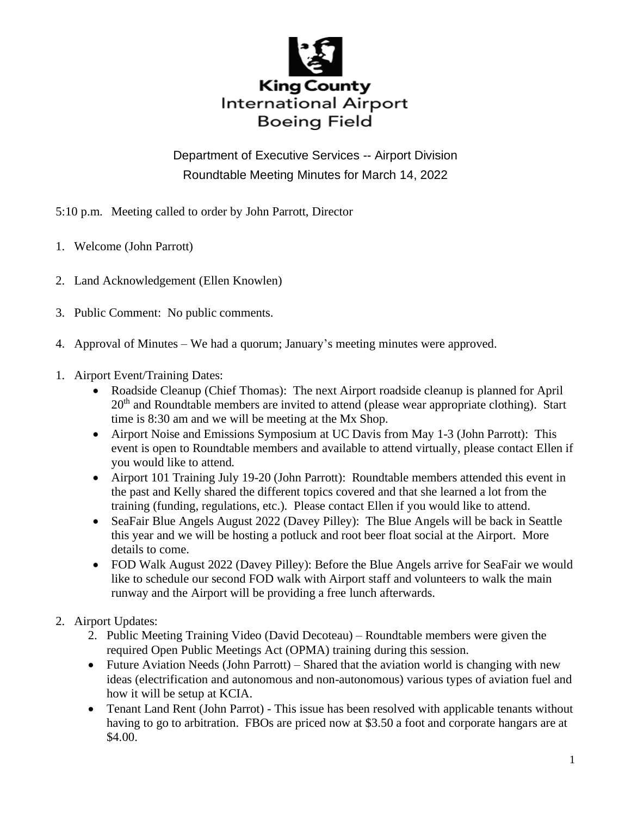

Department of Executive Services -- Airport Division Roundtable Meeting Minutes for March 14, 2022

5:10 p.m. Meeting called to order by John Parrott, Director

- 1. Welcome (John Parrott)
- 2. Land Acknowledgement (Ellen Knowlen)
- 3. Public Comment: No public comments.
- 4. Approval of Minutes We had a quorum; January's meeting minutes were approved.
- 1. Airport Event/Training Dates:
	- Roadside Cleanup (Chief Thomas): The next Airport roadside cleanup is planned for April  $20<sup>th</sup>$  and Roundtable members are invited to attend (please wear appropriate clothing). Start time is 8:30 am and we will be meeting at the Mx Shop.
	- Airport Noise and Emissions Symposium at UC Davis from May 1-3 (John Parrott): This event is open to Roundtable members and available to attend virtually, please contact Ellen if you would like to attend.
	- Airport 101 Training July 19-20 (John Parrott): Roundtable members attended this event in the past and Kelly shared the different topics covered and that she learned a lot from the training (funding, regulations, etc.). Please contact Ellen if you would like to attend.
	- SeaFair Blue Angels August 2022 (Davey Pilley): The Blue Angels will be back in Seattle this year and we will be hosting a potluck and root beer float social at the Airport. More details to come.
	- FOD Walk August 2022 (Davey Pilley): Before the Blue Angels arrive for SeaFair we would like to schedule our second FOD walk with Airport staff and volunteers to walk the main runway and the Airport will be providing a free lunch afterwards.
- 2. Airport Updates:
	- 2. Public Meeting Training Video (David Decoteau) Roundtable members were given the required Open Public Meetings Act (OPMA) training during this session.
	- Future Aviation Needs (John Parrott) Shared that the aviation world is changing with new ideas (electrification and autonomous and non-autonomous) various types of aviation fuel and how it will be setup at KCIA.
	- Tenant Land Rent (John Parrot) This issue has been resolved with applicable tenants without having to go to arbitration. FBOs are priced now at \$3.50 a foot and corporate hangars are at \$4.00.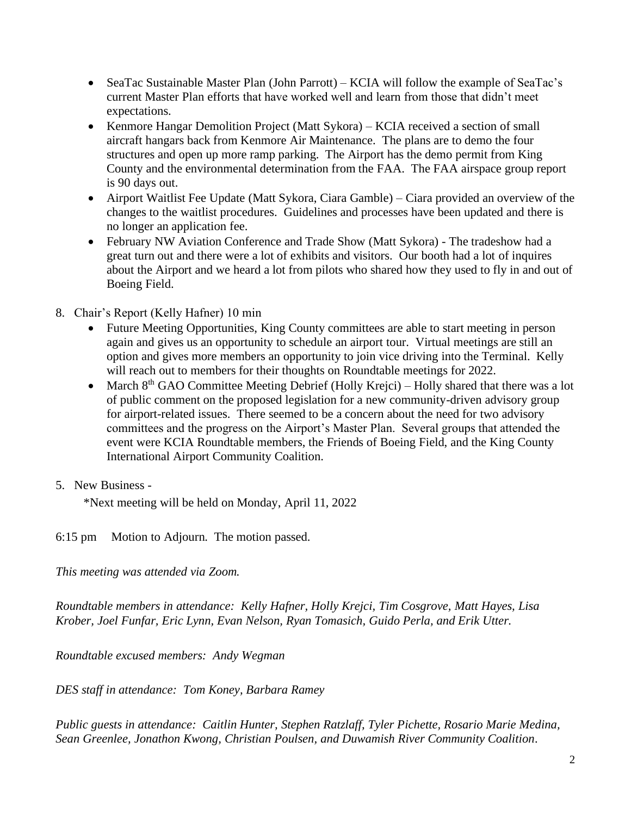- SeaTac Sustainable Master Plan (John Parrott) KCIA will follow the example of SeaTac's current Master Plan efforts that have worked well and learn from those that didn't meet expectations.
- Kenmore Hangar Demolition Project (Matt Sykora) KCIA received a section of small aircraft hangars back from Kenmore Air Maintenance. The plans are to demo the four structures and open up more ramp parking. The Airport has the demo permit from King County and the environmental determination from the FAA. The FAA airspace group report is 90 days out.
- Airport Waitlist Fee Update (Matt Sykora, Ciara Gamble) Ciara provided an overview of the changes to the waitlist procedures. Guidelines and processes have been updated and there is no longer an application fee.
- February NW Aviation Conference and Trade Show (Matt Sykora) The tradeshow had a great turn out and there were a lot of exhibits and visitors. Our booth had a lot of inquires about the Airport and we heard a lot from pilots who shared how they used to fly in and out of Boeing Field.
- 8. Chair's Report (Kelly Hafner) 10 min
	- Future Meeting Opportunities, King County committees are able to start meeting in person again and gives us an opportunity to schedule an airport tour. Virtual meetings are still an option and gives more members an opportunity to join vice driving into the Terminal. Kelly will reach out to members for their thoughts on Roundtable meetings for 2022.
	- March  $8<sup>th</sup>$  GAO Committee Meeting Debrief (Holly Krejci) Holly shared that there was a lot of public comment on the proposed legislation for a new community-driven advisory group for airport-related issues. There seemed to be a concern about the need for two advisory committees and the progress on the Airport's Master Plan. Several groups that attended the event were KCIA Roundtable members, the Friends of Boeing Field, and the King County International Airport Community Coalition.
- 5. New Business -

\*Next meeting will be held on Monday, April 11, 2022

6:15 pm Motion to Adjourn. The motion passed.

*This meeting was attended via Zoom.*

*Roundtable members in attendance: Kelly Hafner, Holly Krejci, Tim Cosgrove, Matt Hayes, Lisa Krober, Joel Funfar, Eric Lynn, Evan Nelson, Ryan Tomasich, Guido Perla, and Erik Utter.*

*Roundtable excused members: Andy Wegman*

*DES staff in attendance: Tom Koney, Barbara Ramey*

*Public guests in attendance: Caitlin Hunter, Stephen Ratzlaff, Tyler Pichette, Rosario Marie Medina, Sean Greenlee, Jonathon Kwong, Christian Poulsen, and Duwamish River Community Coalition.*